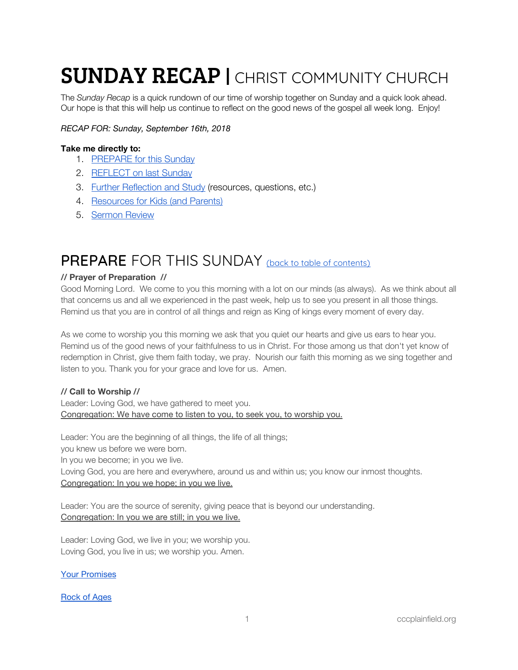# **SUNDAY RECAP | CHRIST COMMUNITY CHURCH**

The *Sunday Recap* is a quick rundown of our time of worship together on Sunday and a quick look ahead. Our hope is that this will help us continue to reflect on the good news of the gospel all week long. Enjoy!

#### *RECAP FOR: Sunday, September 16th, 2018*

#### <span id="page-0-1"></span>**Take me directly to:**

- 1. [PREPARE](#page-0-0) for this Sunday
- 2. [REFLECT](#page-2-0) on last Sunday
- 3. Further [Reflection](#page-3-0) and Study (resources, questions, etc.)
- 4. [Resources](#page-4-0) for Kids (and Parents)
- 5. [Sermon](#page-5-0) Review

### <span id="page-0-0"></span>PREPARE FOR THIS SUNDAY (back to table of [contents\)](#page-0-1)

#### **// Prayer of Preparation //**

Good Morning Lord. We come to you this morning with a lot on our minds (as always). As we think about all that concerns us and all we experienced in the past week, help us to see you present in all those things. Remind us that you are in control of all things and reign as King of kings every moment of every day.

As we come to worship you this morning we ask that you quiet our hearts and give us ears to hear you. Remind us of the good news of your faithfulness to us in Christ. For those among us that don't yet know of redemption in Christ, give them faith today, we pray. Nourish our faith this morning as we sing together and listen to you. Thank you for your grace and love for us. Amen.

#### **// Call to Worship //**

Leader: Loving God, we have gathered to meet you. Congregation: We have come to listen to you, to seek you, to worship you.

Leader: You are the beginning of all things, the life of all things; you knew us before we were born. In you we become; in you we live. Loving God, you are here and everywhere, around us and within us; you know our inmost thoughts. Congregation: In you we hope; in you we live.

Leader: You are the source of serenity, giving peace that is beyond our understanding. Congregation: In you we are still; in you we live.

Leader: Loving God, we live in you; we worship you. Loving God, you live in us; we worship you. Amen.

Your [Promises](https://open.spotify.com/track/7toBMKUFYgMqSoG1OnG2Bs?si=9jxUZnrERsuws_2nmRpfyg)

[Rock](https://open.spotify.com/track/7t09AFanjOnuDlBVuX4OoS?si=-wO99H8iR_-Sy7O6iaZMtA) of Ages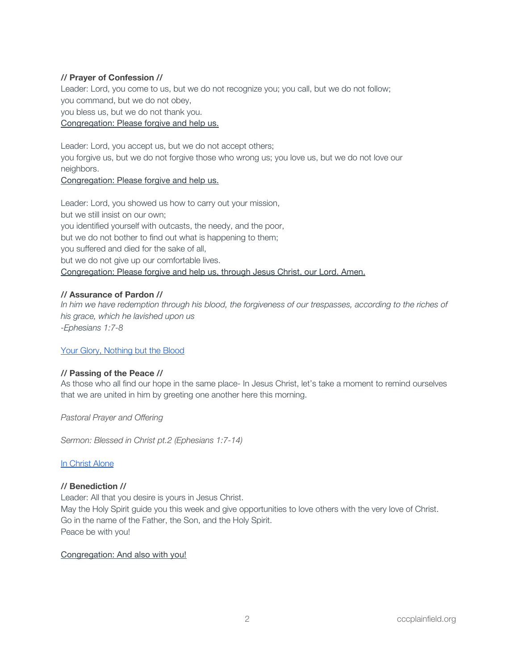#### **// Prayer of Confession //**

Leader: Lord, you come to us, but we do not recognize you; you call, but we do not follow; you command, but we do not obey,

you bless us, but we do not thank you.

#### Congregation: Please forgive and help us.

Leader: Lord, you accept us, but we do not accept others; you forgive us, but we do not forgive those who wrong us; you love us, but we do not love our neighbors.

#### Congregation: Please forgive and help us.

Leader: Lord, you showed us how to carry out your mission, but we still insist on our own; you identified yourself with outcasts, the needy, and the poor, but we do not bother to find out what is happening to them; you suffered and died for the sake of all, but we do not give up our comfortable lives. Congregation: Please forgive and help us, through Jesus Christ, our Lord. Amen.

#### **// Assurance of Pardon //**

In him we have redemption through his blood, the forgiveness of our trespasses, according to the riches of *his grace, which he lavished upon us -Ephesians 1:7-8*

#### Your Glory, [Nothing](https://open.spotify.com/track/5UgGtoBzu4mmslDkcbLduT?si=6tI0BxAqTECiZTreye4Sxg) but the Blood

#### **// Passing of the Peace //**

As those who all find our hope in the same place- In Jesus Christ, let's take a moment to remind ourselves that we are united in him by greeting one another here this morning.

*Pastoral Prayer and Offering*

*Sermon: Blessed in Christ pt.2 (Ephesians 1:7-14)*

#### In [Christ](https://open.spotify.com/track/1g5b5gNTAh3dsSWZILzczm?si=gN3j_ZfWSe6hzT-BdW2zcg) Alone

#### **// Benediction //**

Leader: All that you desire is yours in Jesus Christ. May the Holy Spirit guide you this week and give opportunities to love others with the very love of Christ. Go in the name of the Father, the Son, and the Holy Spirit. Peace be with you!

#### Congregation: And also with you!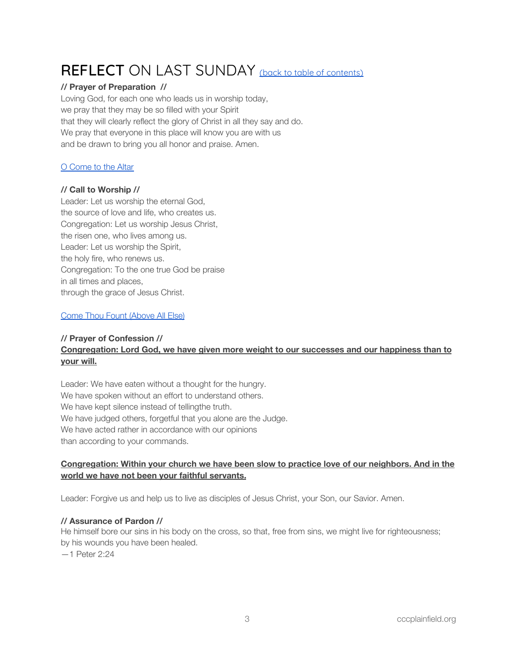## <span id="page-2-0"></span>REFLECT ON LAST SUNDAY (back to table of [contents\)](#page-0-1)

#### **// Prayer of Preparation //**

Loving God, for each one who leads us in worship today, we pray that they may be so filled with your Spirit that they will clearly reflect the glory of Christ in all they say and do. We pray that everyone in this place will know you are with us and be drawn to bring you all honor and praise. Amen.

#### O [Come](https://open.spotify.com/track/13Nn3hJ8JZq6dWHk2v62ai?si=J_-GVEJOSVe3OECPjIKHCw) to the Altar

#### **// Call to Worship //**

Leader: Let us worship the eternal God, the source of love and life, who creates us. Congregation: Let us worship Jesus Christ, the risen one, who lives among us. Leader: Let us worship the Spirit, the holy fire, who renews us. Congregation: To the one true God be praise in all times and places, through the grace of Jesus Christ.

#### Come Thou Fount [\(Above](https://open.spotify.com/track/5yZcK6LIBxD6Ia5vYuEr6v?si=oqEl5mgZTLCennVr0MxakQ) All Else)

#### **// Prayer of Confession // Congregation: Lord God, we have given more weight to our successes and our happiness than to your will.**

Leader: We have eaten without a thought for the hungry. We have spoken without an effort to understand others. We have kept silence instead of tellingthe truth. We have judged others, forgetful that you alone are the Judge. We have acted rather in accordance with our opinions than according to your commands.

#### **Congregation: Within your church we have been slow to practice love of our neighbors. And in the world we have not been your faithful servants.**

Leader: Forgive us and help us to live as disciples of Jesus Christ, your Son, our Savior. Amen.

#### **// Assurance of Pardon //**

He himself bore our sins in his body on the cross, so that, free from sins, we might live for righteousness; by his wounds you have been healed. —1 Peter 2:24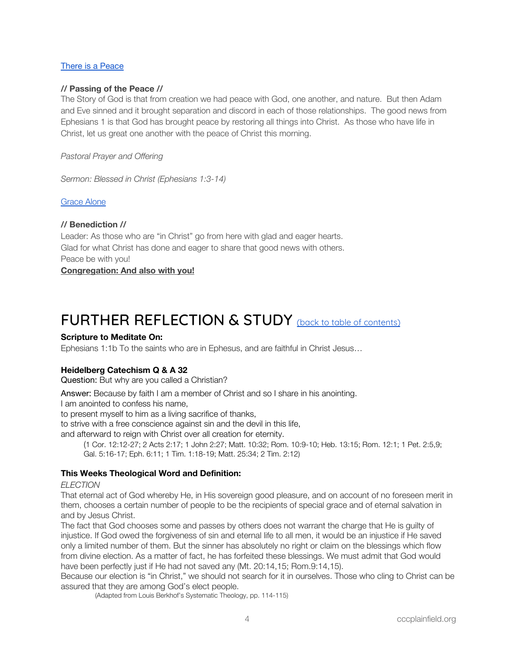#### There is a [Peace](https://open.spotify.com/track/1CuO4rRxKYLxfKj85CQZNY?si=JaNHbGx6QpGUqG9cnpvpEQ)

#### **// Passing of the Peace //**

The Story of God is that from creation we had peace with God, one another, and nature. But then Adam and Eve sinned and it brought separation and discord in each of those relationships. The good news from Ephesians 1 is that God has brought peace by restoring all things into Christ. As those who have life in Christ, let us great one another with the peace of Christ this morning.

*Pastoral Prayer and Offering*

*Sermon: Blessed in Christ (Ephesians 1:3-14)*

#### [Grace](https://open.spotify.com/track/4AMRgsSvJZJS7N71AM3px2?si=90VxNOOcSyyRXMwVWPPXtg) Alone

#### **// Benediction //**

Leader: As those who are "in Christ" go from here with glad and eager hearts. Glad for what Christ has done and eager to share that good news with others. Peace be with you!

**Congregation: And also with you!**

### <span id="page-3-0"></span>FURTHER REFLECTION & STUDY (back to table of [contents\)](#page-0-1)

#### **Scripture to Meditate On:**

Ephesians 1:1b To the saints who are in Ephesus, and are faithful in Christ Jesus…

#### **Heidelberg Catechism Q & A 32**

Question: But why are you called a Christian?

Answer: Because by faith I am a member of Christ and so I share in his anointing.

I am anointed to confess his name,

to present myself to him as a living sacrifice of thanks,

to strive with a free conscience against sin and the devil in this life,

and afterward to reign with Christ over all creation for eternity.

(1 Cor. 12:12-27; 2 Acts 2:17; 1 John 2:27; Matt. 10:32; Rom. 10:9-10; Heb. 13:15; Rom. 12:1; 1 Pet. 2:5,9; Gal. 5:16-17; Eph. 6:11; 1 Tim. 1:18-19; Matt. 25:34; 2 Tim. 2:12)

#### **This Weeks Theological Word and Definition:**

*ELECTION*

That eternal act of God whereby He, in His sovereign good pleasure, and on account of no foreseen merit in them, chooses a certain number of people to be the recipients of special grace and of eternal salvation in and by Jesus Christ.

The fact that God chooses some and passes by others does not warrant the charge that He is guilty of injustice. If God owed the forgiveness of sin and eternal life to all men, it would be an injustice if He saved only a limited number of them. But the sinner has absolutely no right or claim on the blessings which flow from divine election. As a matter of fact, he has forfeited these blessings. We must admit that God would have been perfectly just if He had not saved any (Mt. 20:14,15; Rom.9:14,15).

Because our election is "in Christ," we should not search for it in ourselves. Those who cling to Christ can be assured that they are among God's elect people.

(Adapted from Louis Berkhof's Systematic Theology, pp. 114-115)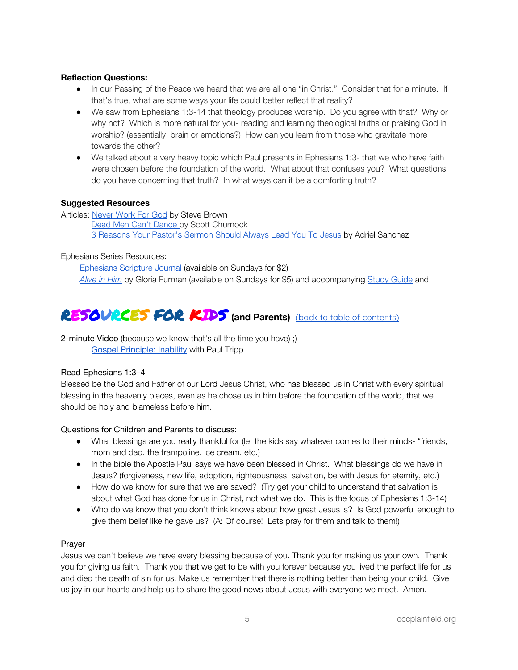#### **Reflection Questions:**

- In our Passing of the Peace we heard that we are all one "in Christ." Consider that for a minute. If that's true, what are some ways your life could better reflect that reality?
- We saw from Ephesians 1:3-14 that theology produces worship. Do you agree with that? Why or why not? Which is more natural for you- reading and learning theological truths or praising God in worship? (essentially: brain or emotions?) How can you learn from those who gravitate more towards the other?
- We talked about a very heavy topic which Paul presents in Ephesians 1:3- that we who have faith were chosen before the foundation of the world. What about that confuses you? What questions do you have concerning that truth? In what ways can it be a comforting truth?

#### **Suggested Resources**

Articles: [Never](https://www.keylife.org/articles/steves-devotional-never-work-for-god) Work For God by Steve Brown Dead Men Can't [Dance](https://drive.google.com/file/d/1JUan4xUbx_GTQD5VyofRmc8OQrtYwn7_/view?usp=sharing) by Scott Churnock 3 [Reasons](https://corechristianity.com/resource-library/articles/3-reasons-your-pastors-sermon-should-always-lead-you-to-jesus) Your Pastor's Sermon Should Always Lead You To Jesus by Adriel Sanchez

#### Ephesians Series Resources:

[Ephesians](https://www.crossway.org/bibles/esv-scripture-journal-ephesians-tpb/) Scripture Journal (available on Sundays for \$2) *[Alive](https://www.crossway.org/books/alive-in-him-tpb/) in Him* by Gloria Furman (available on Sundays for \$5) and accompanying Study [Guide](https://static.crossway.org/excerpt/alive-in-him-study-guide.pdf) and

## <span id="page-4-0"></span>RESOURCES FOR KIDS **(and Parents)** (back to table of [contents\)](#page-0-1)

2-minute Video (because we know that's all the time you have) ;) Gospel [Principle:](https://www.paultripp.com/video#!/swx/pp/media_archives/170524/episode/64993) Inability with Paul Tripp

#### Read Ephesians 1:3–4

Blessed be the God and Father of our Lord Jesus Christ, who has blessed us in Christ with every spiritual blessing in the heavenly places, even as he chose us in him before the foundation of the world, that we should be holy and blameless before him.

#### Questions for Children and Parents to discuss:

- What blessings are you really thankful for (let the kids say whatever comes to their minds- "friends, mom and dad, the trampoline, ice cream, etc.)
- In the bible the Apostle Paul says we have been blessed in Christ. What blessings do we have in Jesus? (forgiveness, new life, adoption, righteousness, salvation, be with Jesus for eternity, etc.)
- How do we know for sure that we are saved? (Try get your child to understand that salvation is about what God has done for us in Christ, not what we do. This is the focus of Ephesians 1:3-14)
- Who do we know that you don't think knows about how great Jesus is? Is God powerful enough to give them belief like he gave us? (A: Of course! Lets pray for them and talk to them!)

#### Prayer

Jesus we can't believe we have every blessing because of you. Thank you for making us your own. Thank you for giving us faith. Thank you that we get to be with you forever because you lived the perfect life for us and died the death of sin for us. Make us remember that there is nothing better than being your child. Give us joy in our hearts and help us to share the good news about Jesus with everyone we meet. Amen.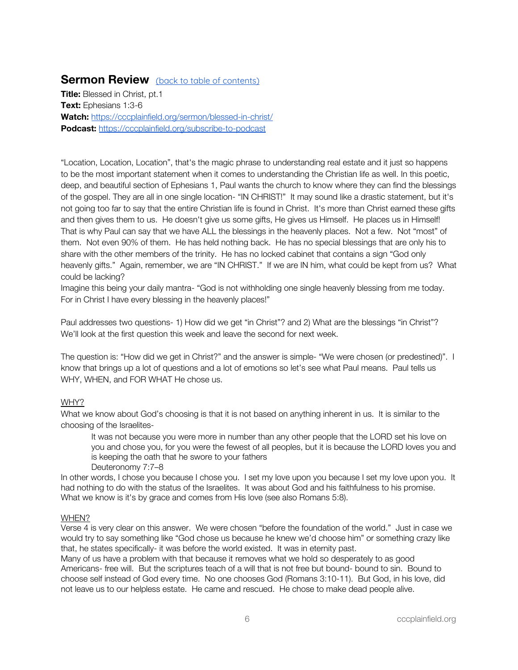### <span id="page-5-0"></span>**Sermon Review** (back to table of [contents\)](#page-0-1)

**Title:** Blessed in Christ, pt.1 **Text:** Ephesians 1:3-6 **Watch:** <https://cccplainfield.org/sermon/blessed-in-christ/> **Podcast:** <https://cccplainfield.org/subscribe-to-podcast>

"Location, Location, Location", that's the magic phrase to understanding real estate and it just so happens to be the most important statement when it comes to understanding the Christian life as well. In this poetic, deep, and beautiful section of Ephesians 1, Paul wants the church to know where they can find the blessings of the gospel. They are all in one single location- "IN CHRIST!" It may sound like a drastic statement, but it's not going too far to say that the entire Christian life is found in Christ. It's more than Christ earned these gifts and then gives them to us. He doesn't give us some gifts, He gives us Himself. He places us in Himself! That is why Paul can say that we have ALL the blessings in the heavenly places. Not a few. Not "most" of them. Not even 90% of them. He has held nothing back. He has no special blessings that are only his to share with the other members of the trinity. He has no locked cabinet that contains a sign "God only heavenly gifts." Again, remember, we are "IN CHRIST." If we are IN him, what could be kept from us? What could be lacking?

Imagine this being your daily mantra- "God is not withholding one single heavenly blessing from me today. For in Christ I have every blessing in the heavenly places!"

Paul addresses two questions- 1) How did we get "in Christ"? and 2) What are the blessings "in Christ"? We'll look at the first question this week and leave the second for next week.

The question is: "How did we get in Christ?" and the answer is simple- "We were chosen (or predestined)". I know that brings up a lot of questions and a lot of emotions so let's see what Paul means. Paul tells us WHY, WHEN, and FOR WHAT He chose us.

#### WHY?

What we know about God's choosing is that it is not based on anything inherent in us. It is similar to the choosing of the Israelites-

It was not because you were more in number than any other people that the LORD set his love on you and chose you, for you were the fewest of all peoples, but it is because the LORD loves you and is keeping the oath that he swore to your fathers Deuteronomy 7:7–8

In other words, I chose you because I chose you. I set my love upon you because I set my love upon you. It had nothing to do with the status of the Israelites. It was about God and his faithfulness to his promise. What we know is it's by grace and comes from His love (see also Romans 5:8).

#### WHEN?

Verse 4 is very clear on this answer. We were chosen "before the foundation of the world." Just in case we would try to say something like "God chose us because he knew we'd choose him" or something crazy like that, he states specifically- it was before the world existed. It was in eternity past.

Many of us have a problem with that because it removes what we hold so desperately to as good Americans- free will. But the scriptures teach of a will that is not free but bound- bound to sin. Bound to choose self instead of God every time. No one chooses God (Romans 3:10-11). But God, in his love, did not leave us to our helpless estate. He came and rescued. He chose to make dead people alive.